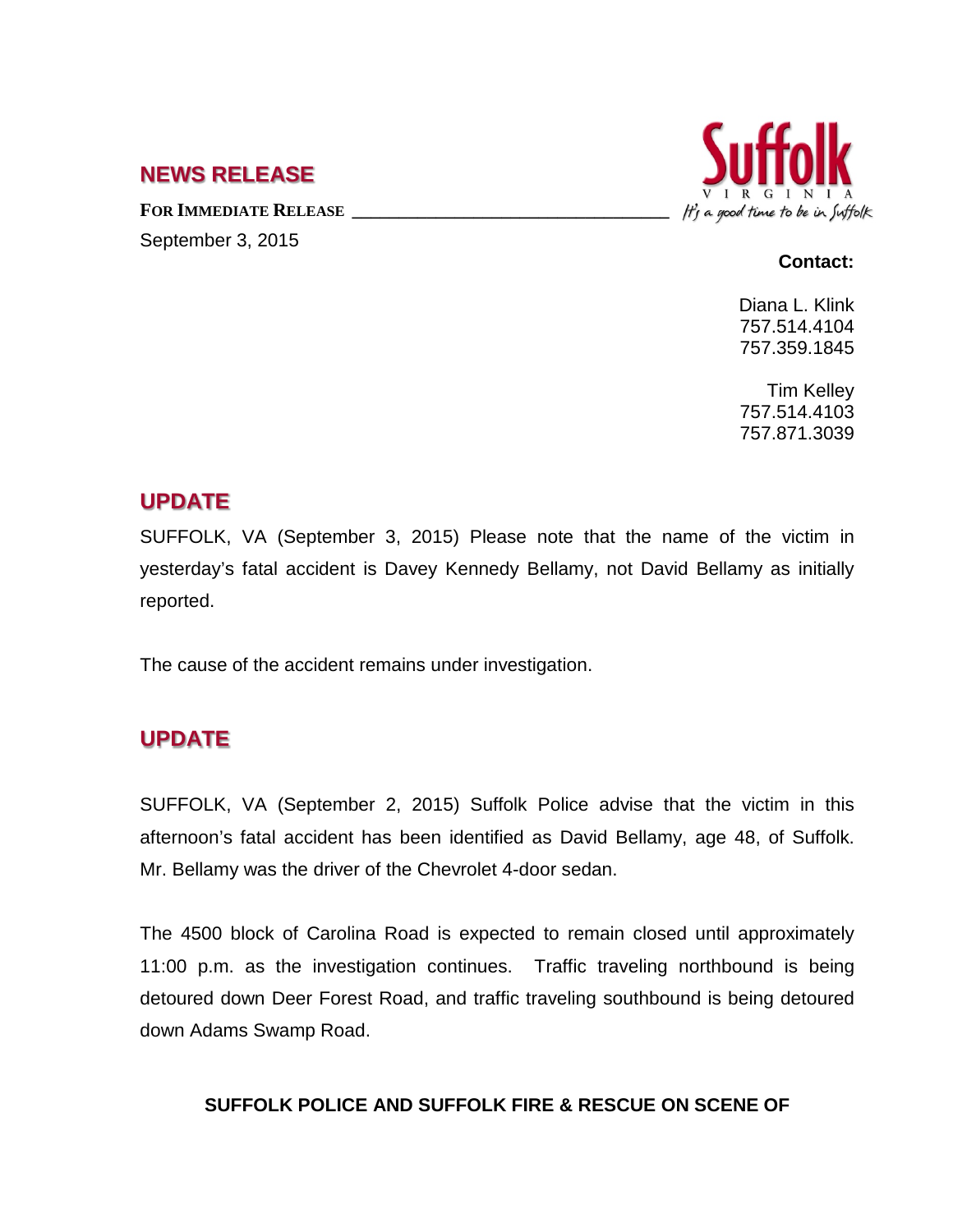## **NEWS RELEASE**

FOR **IMMEDIATE RELEASE** September 3, 2015



#### **Contact:**

Diana L. Klink 757.514.4104 757.359.1845

Tim Kelley 757.514.4103 757.871.3039

## **UPDATE**

SUFFOLK, VA (September 3, 2015) Please note that the name of the victim in yesterday's fatal accident is Davey Kennedy Bellamy, not David Bellamy as initially reported.

The cause of the accident remains under investigation.

# **UPDATE**

SUFFOLK, VA (September 2, 2015) Suffolk Police advise that the victim in this afternoon's fatal accident has been identified as David Bellamy, age 48, of Suffolk. Mr. Bellamy was the driver of the Chevrolet 4-door sedan.

The 4500 block of Carolina Road is expected to remain closed until approximately 11:00 p.m. as the investigation continues. Traffic traveling northbound is being detoured down Deer Forest Road, and traffic traveling southbound is being detoured down Adams Swamp Road.

### **SUFFOLK POLICE AND SUFFOLK FIRE & RESCUE ON SCENE OF**